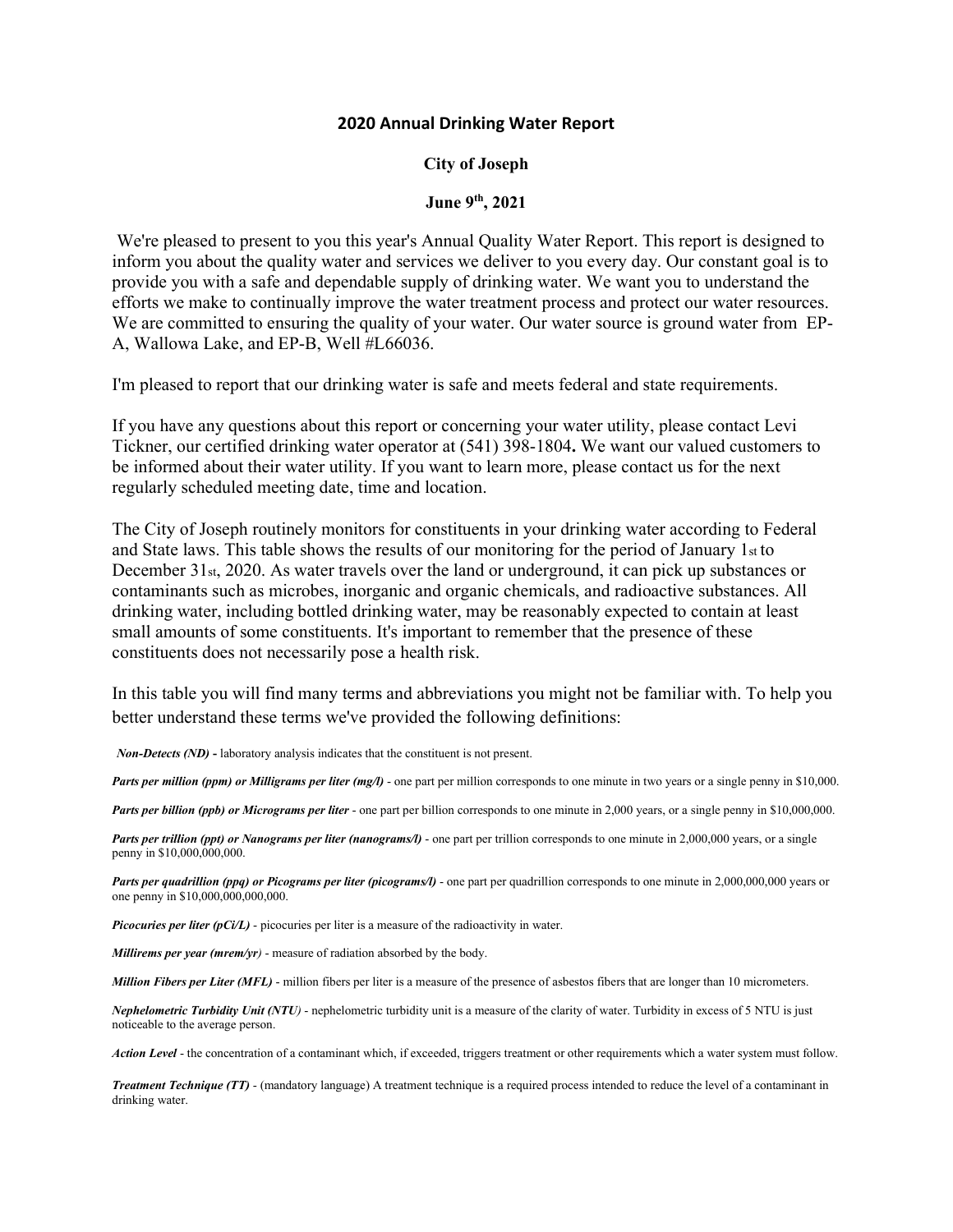## **2020 Annual Drinking Water Report**

## **City of Joseph**

## **June 9th, 2021**

We're pleased to present to you this year's Annual Quality Water Report. This report is designed to inform you about the quality water and services we deliver to you every day. Our constant goal is to provide you with a safe and dependable supply of drinking water. We want you to understand the efforts we make to continually improve the water treatment process and protect our water resources. We are committed to ensuring the quality of your water. Our water source is ground water from EP-A, Wallowa Lake, and EP-B, Well #L66036.

I'm pleased to report that our drinking water is safe and meets federal and state requirements.

If you have any questions about this report or concerning your water utility, please contact Levi Tickner, our certified drinking water operator at (541) 398-1804**.** We want our valued customers to be informed about their water utility. If you want to learn more, please contact us for the next regularly scheduled meeting date, time and location.

The City of Joseph routinely monitors for constituents in your drinking water according to Federal and State laws. This table shows the results of our monitoring for the period of January 1st to December 31st, 2020. As water travels over the land or underground, it can pick up substances or contaminants such as microbes, inorganic and organic chemicals, and radioactive substances. All drinking water, including bottled drinking water, may be reasonably expected to contain at least small amounts of some constituents. It's important to remember that the presence of these constituents does not necessarily pose a health risk.

In this table you will find many terms and abbreviations you might not be familiar with. To help you better understand these terms we've provided the following definitions:

*Non-Detects (ND)* **-** laboratory analysis indicates that the constituent is not present.

*Parts per million (ppm) or Milligrams per liter (mg/l)* - one part per million corresponds to one minute in two years or a single penny in \$10,000.

*Parts per billion (ppb) or Micrograms per liter* - one part per billion corresponds to one minute in 2,000 years, or a single penny in \$10,000,000.

*Parts per trillion (ppt) or Nanograms per liter (nanograms/l)* - one part per trillion corresponds to one minute in 2,000,000 years, or a single penny in \$10,000,000,000.

*Parts per quadrillion (ppq) or Picograms per liter (picograms/l)* - one part per quadrillion corresponds to one minute in 2,000,000,000 years or one penny in \$10,000,000,000,000.

*Picocuries per liter (pCi/L)* - picocuries per liter is a measure of the radioactivity in water.

*Millirems per year (mrem/yr)* - measure of radiation absorbed by the body.

*Million Fibers per Liter (MFL)* - million fibers per liter is a measure of the presence of asbestos fibers that are longer than 10 micrometers.

*Nephelometric Turbidity Unit (NTU)* - nephelometric turbidity unit is a measure of the clarity of water. Turbidity in excess of 5 NTU is just noticeable to the average person.

*Action Level* - the concentration of a contaminant which, if exceeded, triggers treatment or other requirements which a water system must follow.

*Treatment Technique (TT)* - (mandatory language) A treatment technique is a required process intended to reduce the level of a contaminant in drinking water.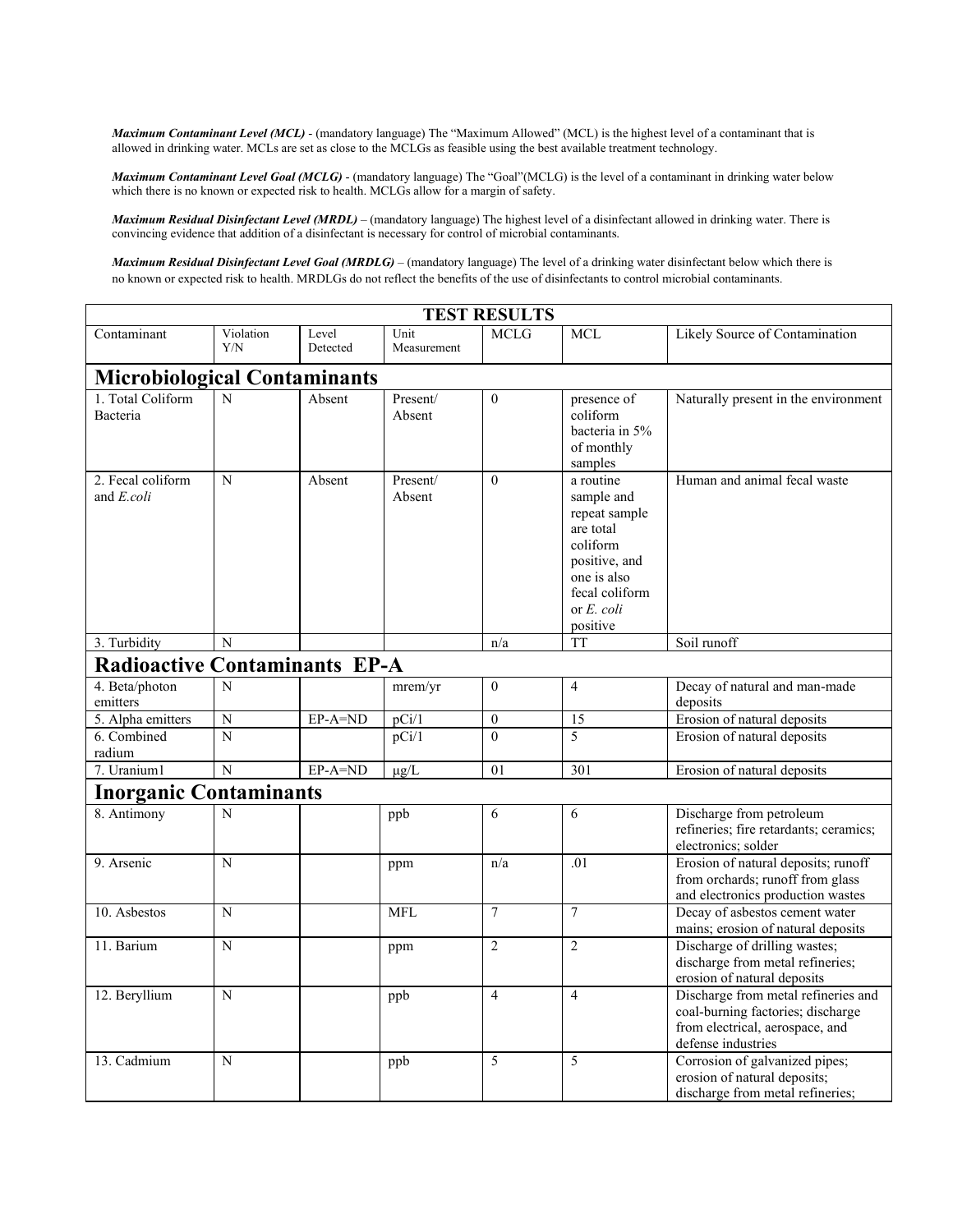*Maximum Contaminant Level (MCL)* - (mandatory language) The "Maximum Allowed" (MCL) is the highest level of a contaminant that is allowed in drinking water. MCLs are set as close to the MCLGs as feasible using the best available treatment technology.

*Maximum Contaminant Level Goal (MCLG)* - (mandatory language) The "Goal"(MCLG) is the level of a contaminant in drinking water below which there is no known or expected risk to health. MCLGs allow for a margin of safety.

*Maximum Residual Disinfectant Level (MRDL)* – (mandatory language) The highest level of a disinfectant allowed in drinking water. There is convincing evidence that addition of a disinfectant is necessary for control of microbial contaminants.

*Maximum Residual Disinfectant Level Goal (MRDLG)* – (mandatory language) The level of a drinking water disinfectant below which there is no known or expected risk to health. MRDLGs do not reflect the benefits of the use of disinfectants to control microbial contaminants.

|                                      |                    |                   |                     | <b>TEST RESULTS</b> |                                                                                                                                               |                                                                                                                                   |
|--------------------------------------|--------------------|-------------------|---------------------|---------------------|-----------------------------------------------------------------------------------------------------------------------------------------------|-----------------------------------------------------------------------------------------------------------------------------------|
| Contaminant                          | Violation<br>Y/N   | Level<br>Detected | Unit<br>Measurement | <b>MCLG</b>         | <b>MCL</b>                                                                                                                                    | Likely Source of Contamination                                                                                                    |
| <b>Microbiological Contaminants</b>  |                    |                   |                     |                     |                                                                                                                                               |                                                                                                                                   |
| 1. Total Coliform<br>Bacteria        | N                  | Absent            | Present/<br>Absent  | $\theta$            | presence of<br>coliform<br>bacteria in 5%<br>of monthly<br>samples                                                                            | Naturally present in the environment                                                                                              |
| 2. Fecal coliform<br>and E.coli      | N                  | Absent            | Present/<br>Absent  | $\theta$            | a routine<br>sample and<br>repeat sample<br>are total<br>coliform<br>positive, and<br>one is also<br>fecal coliform<br>or E. coli<br>positive | Human and animal fecal waste                                                                                                      |
| 3. Turbidity                         | N                  |                   |                     | n/a                 | <b>TT</b>                                                                                                                                     | Soil runoff                                                                                                                       |
| <b>Radioactive Contaminants EP-A</b> |                    |                   |                     |                     |                                                                                                                                               |                                                                                                                                   |
| 4. Beta/photon<br>emitters           | N                  |                   | mrem/yr             | $\theta$            | $\overline{4}$                                                                                                                                | Decay of natural and man-made<br>deposits                                                                                         |
| 5. Alpha emitters                    | $\overline{\rm N}$ | $EP-A=ND$         | pCi/1               | $\boldsymbol{0}$    | 15                                                                                                                                            | Erosion of natural deposits                                                                                                       |
| 6. Combined<br>radium                | N                  |                   | pCi/1               | $\theta$            | $\overline{\phantom{0}}$                                                                                                                      | Erosion of natural deposits                                                                                                       |
| 7. Uranium1                          | N                  | EP-A=ND           | $\mu$ g/L           | 01                  | 301                                                                                                                                           | Erosion of natural deposits                                                                                                       |
| <b>Inorganic Contaminants</b>        |                    |                   |                     |                     |                                                                                                                                               |                                                                                                                                   |
| 8. Antimony                          | N                  |                   | ppb                 | 6                   | 6                                                                                                                                             | Discharge from petroleum<br>refineries; fire retardants; ceramics;<br>electronics; solder                                         |
| 9. Arsenic                           | N                  |                   | ppm                 | n/a                 | .01                                                                                                                                           | Erosion of natural deposits; runoff<br>from orchards; runoff from glass<br>and electronics production wastes                      |
| 10. Asbestos                         | N                  |                   | <b>MFL</b>          | $\tau$              | $\overline{7}$                                                                                                                                | Decay of asbestos cement water<br>mains; erosion of natural deposits                                                              |
| 11. Barium                           | N                  |                   | ppm                 | $\overline{2}$      | $\overline{c}$                                                                                                                                | Discharge of drilling wastes;<br>discharge from metal refineries;<br>erosion of natural deposits                                  |
| 12. Beryllium                        | N                  |                   | ppb                 | $\overline{4}$      | $\overline{4}$                                                                                                                                | Discharge from metal refineries and<br>coal-burning factories; discharge<br>from electrical, aerospace, and<br>defense industries |
| 13. Cadmium                          | N                  |                   | ppb                 | 5                   | 5                                                                                                                                             | Corrosion of galvanized pipes;<br>erosion of natural deposits;<br>discharge from metal refineries;                                |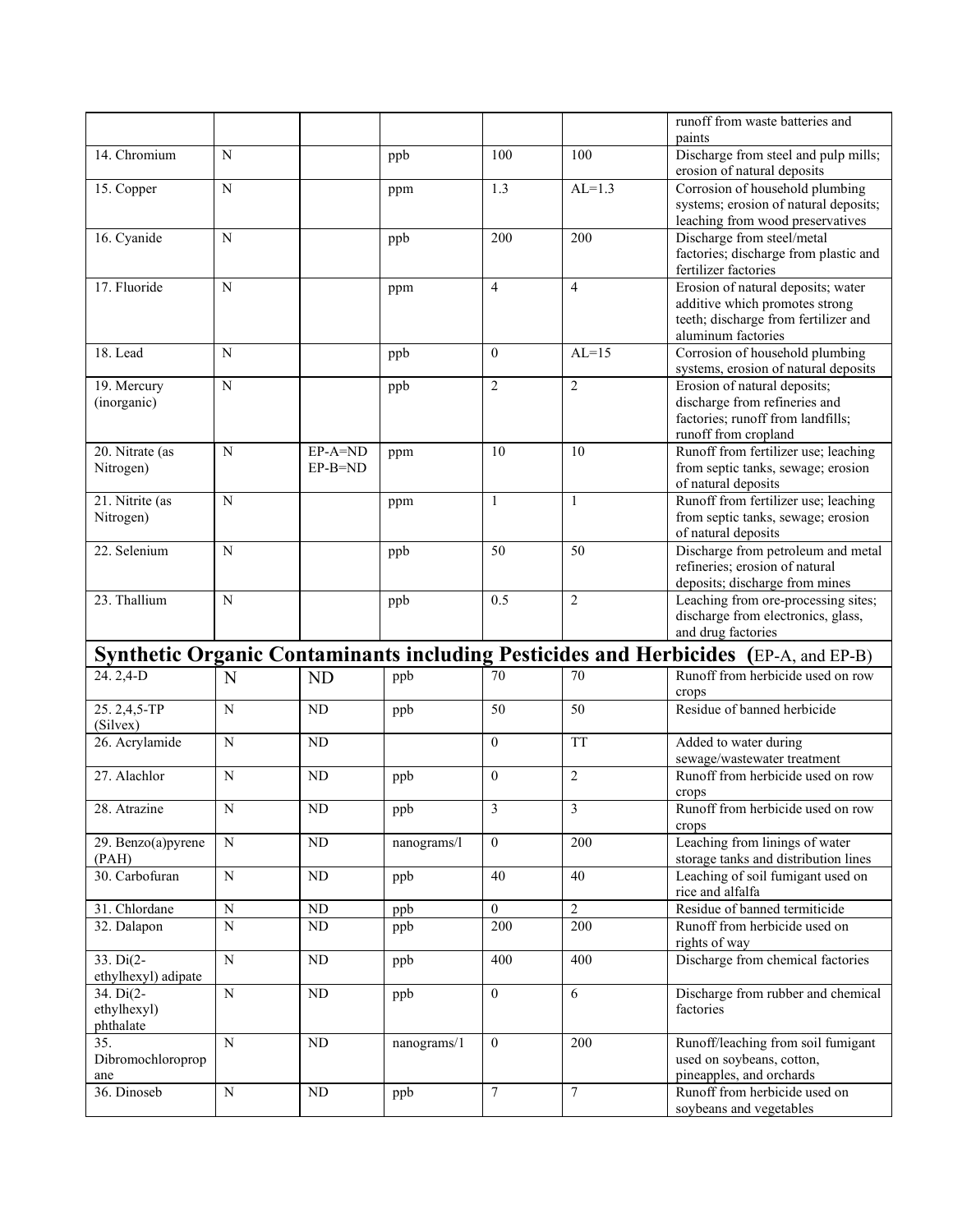|                          |                       |           |             |                  |                         | runoff from waste batteries and                                                     |
|--------------------------|-----------------------|-----------|-------------|------------------|-------------------------|-------------------------------------------------------------------------------------|
|                          |                       |           |             |                  |                         | paints                                                                              |
| 14. Chromium             | N                     |           | ppb         | 100              | 100                     | Discharge from steel and pulp mills;<br>erosion of natural deposits                 |
| 15. Copper               | N                     |           | ppm         | 1.3              | $AL=1.3$                | Corrosion of household plumbing                                                     |
|                          |                       |           |             |                  |                         | systems; erosion of natural deposits;                                               |
|                          |                       |           |             |                  |                         | leaching from wood preservatives                                                    |
| 16. Cyanide              | N                     |           | ppb         | 200              | 200                     | Discharge from steel/metal                                                          |
|                          |                       |           |             |                  |                         | factories; discharge from plastic and                                               |
|                          |                       |           |             |                  |                         | fertilizer factories                                                                |
| 17. Fluoride             | N                     |           | ppm         | 4                | $\overline{4}$          | Erosion of natural deposits; water                                                  |
|                          |                       |           |             |                  |                         | additive which promotes strong                                                      |
|                          |                       |           |             |                  |                         | teeth; discharge from fertilizer and                                                |
|                          |                       |           |             |                  |                         | aluminum factories                                                                  |
| 18. Lead                 | N                     |           |             | $\mathbf{0}$     | $AL=15$                 |                                                                                     |
|                          |                       |           | ppb         |                  |                         | Corrosion of household plumbing                                                     |
|                          |                       |           |             |                  |                         | systems, erosion of natural deposits                                                |
| 19. Mercury              | $\mathbf N$           |           | ppb         | $\overline{2}$   | $\overline{2}$          | Erosion of natural deposits;                                                        |
| (inorganic)              |                       |           |             |                  |                         | discharge from refineries and                                                       |
|                          |                       |           |             |                  |                         | factories; runoff from landfills;                                                   |
|                          |                       |           |             |                  |                         | runoff from cropland                                                                |
| 20. Nitrate (as          | N                     | EP-A=ND   | ppm         | 10               | 10                      | Runoff from fertilizer use; leaching                                                |
| Nitrogen)                |                       | $EP-B=ND$ |             |                  |                         | from septic tanks, sewage; erosion                                                  |
|                          |                       |           |             |                  |                         | of natural deposits                                                                 |
| 21. Nitrite (as          | N                     |           | ppm         | $\mathbf{1}$     | $\mathbf{1}$            | Runoff from fertilizer use; leaching                                                |
| Nitrogen)                |                       |           |             |                  |                         | from septic tanks, sewage; erosion                                                  |
|                          |                       |           |             |                  |                         | of natural deposits                                                                 |
| 22. Selenium             | N                     |           | ppb         | 50               | 50                      | Discharge from petroleum and metal                                                  |
|                          |                       |           |             |                  |                         | refineries; erosion of natural                                                      |
|                          |                       |           |             |                  |                         | deposits; discharge from mines                                                      |
| 23. Thallium             | N                     |           | ppb         | 0.5              | $\mathfrak{2}$          | Leaching from ore-processing sites;                                                 |
|                          |                       |           |             |                  |                         | discharge from electronics, glass,                                                  |
|                          |                       |           |             |                  |                         | and drug factories                                                                  |
|                          |                       |           |             |                  |                         | Synthetic Organic Contaminants including Pesticides and Herbicides (EP-A, and EP-B) |
|                          |                       |           |             |                  |                         |                                                                                     |
| 24.2,4-D                 | N                     | <b>ND</b> | ppb         | 70               | 70                      | Runoff from herbicide used on row                                                   |
|                          |                       |           |             |                  |                         | crops                                                                               |
| 25.2,4,5-TP              | N                     | ND        | ppb         | 50               | 50                      | Residue of banned herbicide                                                         |
| (Silvex)                 |                       |           |             |                  |                         |                                                                                     |
| 26. Acrylamide           | N                     | ND        |             | $\boldsymbol{0}$ | <b>TT</b>               | Added to water during                                                               |
|                          |                       |           |             |                  |                         | sewage/wastewater treatment                                                         |
| 27. Alachlor             | N                     | <b>ND</b> | ppb         | $\boldsymbol{0}$ | $\overline{c}$          | Runoff from herbicide used on row                                                   |
|                          |                       |           |             |                  |                         | crops                                                                               |
| 28. Atrazine             | $\overline{\text{N}}$ | $\rm ND$  | ppb         | $\overline{3}$   | $\overline{\mathbf{3}}$ | Runoff from herbicide used on row                                                   |
|                          |                       |           |             |                  |                         | crops                                                                               |
| $29.$ Benzo $(a)$ pyrene | N                     | ND        | nanograms/l | $\overline{0}$   | 200                     | Leaching from linings of water                                                      |
| (PAH)                    |                       |           |             |                  |                         | storage tanks and distribution lines                                                |
| 30. Carbofuran           | ${\bf N}$             | ND        | ppb         | 40               | 40                      | Leaching of soil fumigant used on                                                   |
|                          |                       |           |             |                  |                         | rice and alfalfa                                                                    |
| 31. Chlordane            | N                     | ND        | ppb         | $\mathbf{0}$     | $\overline{2}$          | Residue of banned termiticide                                                       |
| 32. Dalapon              | N                     | ND        | ppb         | 200              | 200                     | Runoff from herbicide used on                                                       |
|                          |                       |           |             |                  |                         | rights of way                                                                       |
| 33. Di(2-                | ${\bf N}$             | ND        | ppb         | 400              | 400                     | Discharge from chemical factories                                                   |
| ethylhexyl) adipate      |                       |           |             |                  |                         |                                                                                     |
| 34. Di(2-                | $\mathbf N$           | ND        |             | $\boldsymbol{0}$ | 6                       | Discharge from rubber and chemical                                                  |
|                          |                       |           | ppb         |                  |                         |                                                                                     |
| ethylhexyl)              |                       |           |             |                  |                         | factories                                                                           |
| phthalate                |                       |           |             |                  |                         |                                                                                     |
|                          |                       |           |             |                  |                         |                                                                                     |
| 35.                      | ${\bf N}$             | ND        | nanograms/1 | $\boldsymbol{0}$ | 200                     | Runoff/leaching from soil fumigant                                                  |
| Dibromochloroprop        |                       |           |             |                  |                         | used on soybeans, cotton,                                                           |
| ane                      |                       |           |             |                  |                         | pineapples, and orchards                                                            |
| 36. Dinoseb              | $\mathbf N$           | $\rm ND$  | ppb         | $\tau$           | 7                       | Runoff from herbicide used on<br>soybeans and vegetables                            |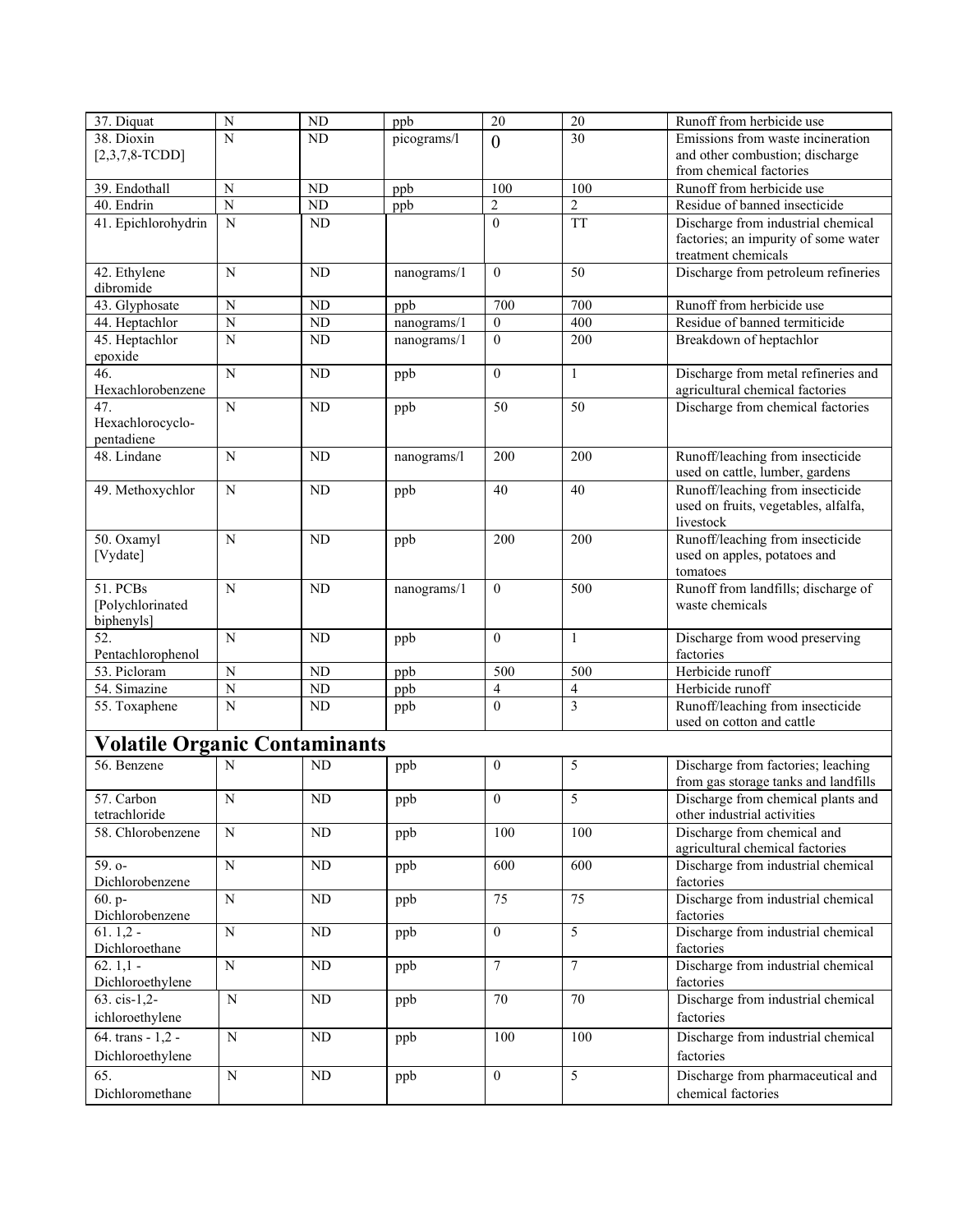| 37. Diquat                           | N              | ND        | ppb         | 20                      | 20                       | Runoff from herbicide use            |
|--------------------------------------|----------------|-----------|-------------|-------------------------|--------------------------|--------------------------------------|
| 38. Dioxin                           | N              | <b>ND</b> | picograms/l | $\mathbf{0}$            | 30                       | Emissions from waste incineration    |
| $[2,3,7,8-TCDD]$                     |                |           |             |                         |                          | and other combustion; discharge      |
|                                      |                |           |             |                         |                          | from chemical factories              |
| 39. Endothall                        | N              | ND        | ppb         | 100                     | 100                      | Runoff from herbicide use            |
| 40. Endrin                           | $\overline{N}$ | ND        | ppb         | $\overline{c}$          | $\overline{2}$           | Residue of banned insecticide        |
| 41. Epichlorohydrin                  | $\mathbf N$    | ND        |             | $\mathbf{0}$            | <b>TT</b>                | Discharge from industrial chemical   |
|                                      |                |           |             |                         |                          | factories; an impurity of some water |
|                                      |                |           |             |                         |                          | treatment chemicals                  |
| 42. Ethylene                         | N              | <b>ND</b> | nanograms/1 | $\mathbf{0}$            | 50                       | Discharge from petroleum refineries  |
| dibromide                            |                |           |             |                         |                          |                                      |
| 43. Glyphosate                       | N              | $\rm ND$  | ppb         | 700                     | 700                      | Runoff from herbicide use            |
| 44. Heptachlor                       | $\overline{N}$ | ND        | nanograms/1 | $\boldsymbol{0}$        | 400                      | Residue of banned termiticide        |
| 45. Heptachlor                       | $\mathbf N$    | <b>ND</b> | nanograms/1 | $\mathbf{0}$            | 200                      | Breakdown of heptachlor              |
| epoxide                              |                |           |             |                         |                          |                                      |
| 46.                                  | $\overline{N}$ | ND        | ppb         | $\mathbf{0}$            | $\mathbf{1}$             | Discharge from metal refineries and  |
| Hexachlorobenzene                    |                |           |             |                         |                          | agricultural chemical factories      |
| $\overline{47}$ .                    | N              | <b>ND</b> | ppb         | 50                      | 50                       | Discharge from chemical factories    |
| Hexachlorocyclo-<br>pentadiene       |                |           |             |                         |                          |                                      |
| 48. Lindane                          | $\mathbf N$    | <b>ND</b> |             | 200                     | 200                      | Runoff/leaching from insecticide     |
|                                      |                |           | nanograms/l |                         |                          | used on cattle, lumber, gardens      |
|                                      | N              | <b>ND</b> |             | 40                      | 40                       | Runoff/leaching from insecticide     |
| 49. Methoxychlor                     |                |           | ppb         |                         |                          | used on fruits, vegetables, alfalfa, |
|                                      |                |           |             |                         |                          | livestock                            |
| 50. Oxamyl                           | N              | ND        | ppb         | 200                     | 200                      | Runoff/leaching from insecticide     |
| [Vydate]                             |                |           |             |                         |                          | used on apples, potatoes and         |
|                                      |                |           |             |                         |                          | tomatoes                             |
| 51. PCBs                             | $\mathbf N$    | ND        | nanograms/1 | $\mathbf{0}$            | 500                      | Runoff from landfills; discharge of  |
| [Polychlorinated                     |                |           |             |                         |                          | waste chemicals                      |
| biphenyls]                           |                |           |             |                         |                          |                                      |
| 52.                                  | $\mathbf N$    | <b>ND</b> | ppb         | $\overline{0}$          | $\mathbf{1}$             | Discharge from wood preserving       |
| Pentachlorophenol                    |                |           |             |                         |                          | factories                            |
| 53. Picloram                         | $\mathbf N$    | ND        | ppb         | 500                     | 500                      | Herbicide runoff                     |
| 54. Simazine                         | $\overline{N}$ | ND        | ppb         | $\overline{\mathbf{4}}$ | $\overline{\mathcal{L}}$ | Herbicide runoff                     |
| 55. Toxaphene                        | $\mathbf N$    | ND        | ppb         | $\mathbf{0}$            | 3                        | Runoff/leaching from insecticide     |
|                                      |                |           |             |                         |                          | used on cotton and cattle            |
| <b>Volatile Organic Contaminants</b> |                |           |             |                         |                          |                                      |
| 56. Benzene                          | N              | ND        | ppb         | $\boldsymbol{0}$        | 5                        | Discharge from factories; leaching   |
|                                      |                |           |             |                         |                          | from gas storage tanks and landfills |
| 57. Carbon                           | N              | <b>ND</b> | ppb         | $\boldsymbol{0}$        | 5                        | Discharge from chemical plants and   |
| tetrachloride                        |                |           |             |                         |                          | other industrial activities          |
| 58. Chlorobenzene                    | N              | ND        | ppb         | 100                     | 100                      | Discharge from chemical and          |
|                                      |                |           |             |                         |                          | agricultural chemical factories      |
| 59. o-                               | $\mathbf N$    | <b>ND</b> | ppb         | 600                     | 600                      | Discharge from industrial chemical   |
| Dichlorobenzene                      |                |           |             |                         |                          | factories                            |
| 60. p-                               | $\mathbf N$    | ND        | ppb         | 75                      | 75                       | Discharge from industrial chemical   |
| Dichlorobenzene                      |                |           |             |                         |                          | factories                            |
| $61.1,2 -$                           | ${\bf N}$      | ND        | ppb         | $\mathbf{0}$            | 5                        | Discharge from industrial chemical   |
| Dichloroethane                       |                |           |             |                         |                          | factories                            |
| $62.1,1 -$                           | $\mathbf N$    | ND        | ppb         | $\boldsymbol{7}$        | 7                        | Discharge from industrial chemical   |
| Dichloroethylene                     |                |           |             |                         |                          | factories                            |
| 63. cis-1,2-                         | ${\bf N}$      | ND        | ppb         | 70                      | 70                       | Discharge from industrial chemical   |
| ichloroethylene                      |                |           |             |                         |                          | factories                            |
| 64. trans - 1,2 -                    | $\mathbf N$    | ND        | ppb         | 100                     | 100                      | Discharge from industrial chemical   |
| Dichloroethylene                     |                |           |             |                         |                          | factories                            |
| 65.                                  | ${\bf N}$      |           |             | $\boldsymbol{0}$        | 5                        | Discharge from pharmaceutical and    |
|                                      |                | ND        | ppb         |                         |                          |                                      |
| Dichloromethane                      |                |           |             |                         |                          | chemical factories                   |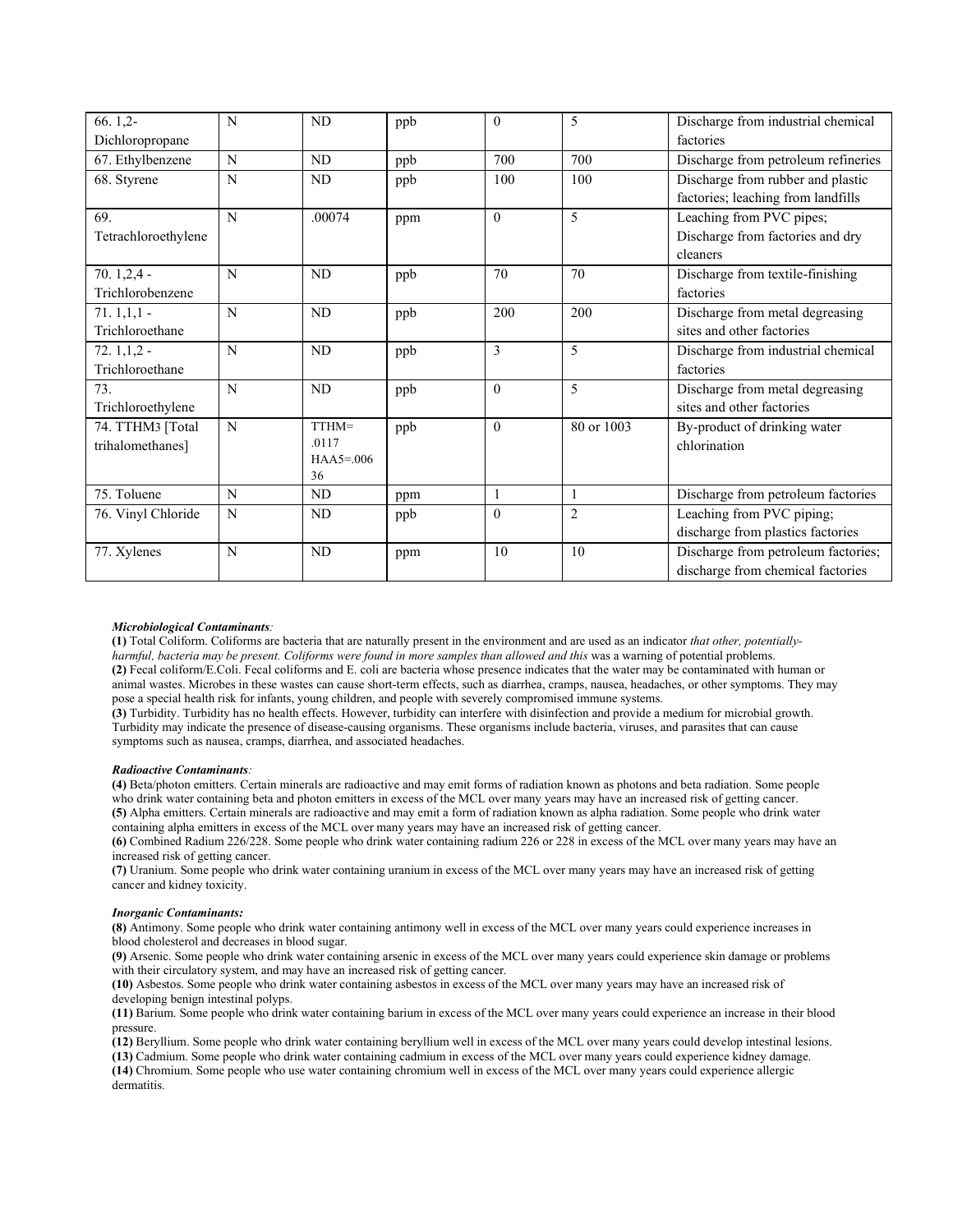| $66.1,2-$           | N | ND               | ppb | $\theta$     | 5              | Discharge from industrial chemical  |
|---------------------|---|------------------|-----|--------------|----------------|-------------------------------------|
| Dichloropropane     |   |                  |     |              |                | factories                           |
| 67. Ethylbenzene    | N | ND               | ppb | 700          | 700            | Discharge from petroleum refineries |
| 68. Styrene         | N | ND               | ppb | 100          | 100            | Discharge from rubber and plastic   |
|                     |   |                  |     |              |                | factories; leaching from landfills  |
| 69.                 | N | .00074           | ppm | $\mathbf{0}$ | 5              | Leaching from PVC pipes;            |
| Tetrachloroethylene |   |                  |     |              |                | Discharge from factories and dry    |
|                     |   |                  |     |              |                | cleaners                            |
| $70.1,2,4 -$        | N | ND               | ppb | 70           | 70             | Discharge from textile-finishing    |
| Trichlorobenzene    |   |                  |     |              |                | factories                           |
| $71.1,1,1-$         | N | N <sub>D</sub>   | ppb | 200          | 200            | Discharge from metal degreasing     |
| Trichloroethane     |   |                  |     |              |                | sites and other factories           |
| $72.1,1,2-$         | N | ND               | ppb | 3            | 5              | Discharge from industrial chemical  |
| Trichloroethane     |   |                  |     |              |                | factories                           |
| 73.                 | N | ND               | ppb | $\theta$     | 5              | Discharge from metal degreasing     |
| Trichloroethylene   |   |                  |     |              |                | sites and other factories           |
| 74. TTHM3 [Total    | N | TTHM=            | ppb | $\mathbf{0}$ | 80 or 1003     | By-product of drinking water        |
| trihalomethanes]    |   | .0117            |     |              |                | chlorination                        |
|                     |   | $HAA5=006$<br>36 |     |              |                |                                     |
| 75. Toluene         | N | ND               |     | $\mathbf{1}$ | $\mathbf{1}$   | Discharge from petroleum factories  |
|                     |   |                  | ppm |              |                |                                     |
| 76. Vinyl Chloride  | N | ND               | ppb | $\mathbf{0}$ | $\overline{2}$ | Leaching from PVC piping;           |
|                     |   |                  |     |              |                | discharge from plastics factories   |
| 77. Xylenes         | N | N <sub>D</sub>   | ppm | 10           | 10             | Discharge from petroleum factories; |
|                     |   |                  |     |              |                | discharge from chemical factories   |

### *Microbiological Contaminants:*

**(1)** Total Coliform. Coliforms are bacteria that are naturally present in the environment and are used as an indicator *that other, potentiallyharmful, bacteria may be present. Coliforms were found in more samples than allowed and this was a warning of potential problems.* **(2)** Fecal coliform/E.Coli. Fecal coliforms and E. coli are bacteria whose presence indicates that the water may be contaminated with human or animal wastes. Microbes in these wastes can cause short-term effects, such as diarrhea, cramps, nausea, headaches, or other symptoms. They may pose a special health risk for infants, young children, and people with severely compromised immune systems.

**(3)** Turbidity. Turbidity has no health effects. However, turbidity can interfere with disinfection and provide a medium for microbial growth. Turbidity may indicate the presence of disease-causing organisms. These organisms include bacteria, viruses, and parasites that can cause symptoms such as nausea, cramps, diarrhea, and associated headaches.

#### *Radioactive Contaminants:*

**(4)** Beta/photon emitters. Certain minerals are radioactive and may emit forms of radiation known as photons and beta radiation. Some people who drink water containing beta and photon emitters in excess of the MCL over many years may have an increased risk of getting cancer. **(5)** Alpha emitters. Certain minerals are radioactive and may emit a form of radiation known as alpha radiation. Some people who drink water containing alpha emitters in excess of the MCL over many years may have an increased risk of getting cancer.

**(6)** Combined Radium 226/228. Some people who drink water containing radium 226 or 228 in excess of the MCL over many years may have an increased risk of getting cancer.

**(7)** Uranium. Some people who drink water containing uranium in excess of the MCL over many years may have an increased risk of getting cancer and kidney toxicity.

#### *Inorganic Contaminants:*

**(8)** Antimony. Some people who drink water containing antimony well in excess of the MCL over many years could experience increases in blood cholesterol and decreases in blood sugar.

**(9)** Arsenic. Some people who drink water containing arsenic in excess of the MCL over many years could experience skin damage or problems with their circulatory system, and may have an increased risk of getting cancer.

**(10)** Asbestos. Some people who drink water containing asbestos in excess of the MCL over many years may have an increased risk of developing benign intestinal polyps.

**(11)** Barium. Some people who drink water containing barium in excess of the MCL over many years could experience an increase in their blood pressure.

**(12)** Beryllium. Some people who drink water containing beryllium well in excess of the MCL over many years could develop intestinal lesions.

**(13)** Cadmium. Some people who drink water containing cadmium in excess of the MCL over many years could experience kidney damage. **(14)** Chromium. Some people who use water containing chromium well in excess of the MCL over many years could experience allergic

dermatitis.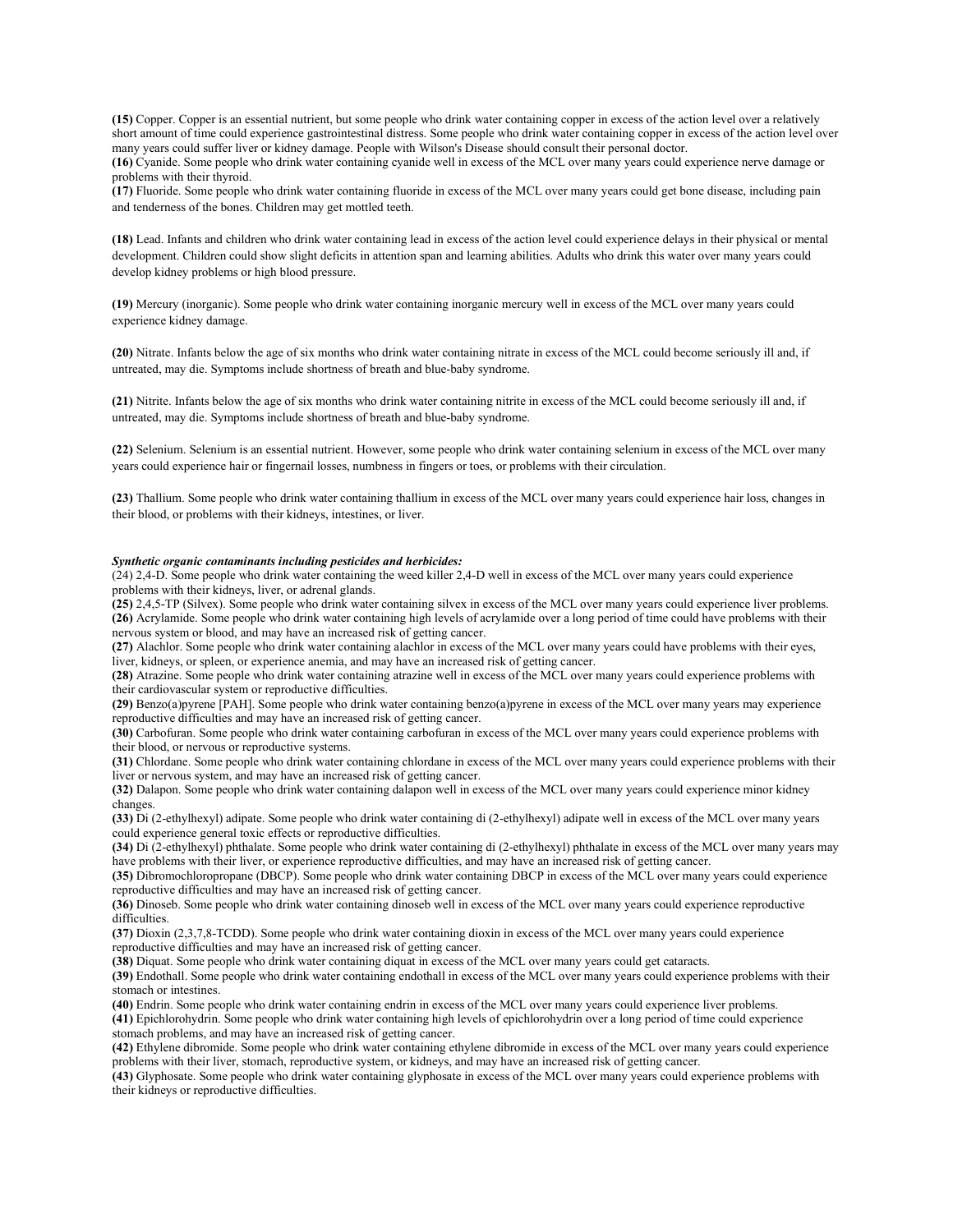**(15)** Copper. Copper is an essential nutrient, but some people who drink water containing copper in excess of the action level over a relatively short amount of time could experience gastrointestinal distress. Some people who drink water containing copper in excess of the action level over many years could suffer liver or kidney damage. People with Wilson's Disease should consult their personal doctor.

**(16)** Cyanide. Some people who drink water containing cyanide well in excess of the MCL over many years could experience nerve damage or problems with their thyroid.

**(17)** Fluoride. Some people who drink water containing fluoride in excess of the MCL over many years could get bone disease, including pain and tenderness of the bones. Children may get mottled teeth.

**(18)** Lead. Infants and children who drink water containing lead in excess of the action level could experience delays in their physical or mental development. Children could show slight deficits in attention span and learning abilities. Adults who drink this water over many years could develop kidney problems or high blood pressure.

**(19)** Mercury (inorganic). Some people who drink water containing inorganic mercury well in excess of the MCL over many years could experience kidney damage.

**(20)** Nitrate. Infants below the age of six months who drink water containing nitrate in excess of the MCL could become seriously ill and, if untreated, may die. Symptoms include shortness of breath and blue-baby syndrome.

**(21)** Nitrite. Infants below the age of six months who drink water containing nitrite in excess of the MCL could become seriously ill and, if untreated, may die. Symptoms include shortness of breath and blue-baby syndrome.

**(22)** Selenium. Selenium is an essential nutrient. However, some people who drink water containing selenium in excess of the MCL over many years could experience hair or fingernail losses, numbness in fingers or toes, or problems with their circulation.

**(23)** Thallium. Some people who drink water containing thallium in excess of the MCL over many years could experience hair loss, changes in their blood, or problems with their kidneys, intestines, or liver.

#### *Synthetic organic contaminants including pesticides and herbicides:*

(24) 2,4-D. Some people who drink water containing the weed killer 2,4-D well in excess of the MCL over many years could experience problems with their kidneys, liver, or adrenal glands.

**(25)** 2,4,5-TP (Silvex). Some people who drink water containing silvex in excess of the MCL over many years could experience liver problems. **(26)** Acrylamide. Some people who drink water containing high levels of acrylamide over a long period of time could have problems with their nervous system or blood, and may have an increased risk of getting cancer.

**(27)** Alachlor. Some people who drink water containing alachlor in excess of the MCL over many years could have problems with their eyes, liver, kidneys, or spleen, or experience anemia, and may have an increased risk of getting cancer.

**(28)** Atrazine. Some people who drink water containing atrazine well in excess of the MCL over many years could experience problems with their cardiovascular system or reproductive difficulties.

**(29)** Benzo(a)pyrene [PAH]. Some people who drink water containing benzo(a)pyrene in excess of the MCL over many years may experience reproductive difficulties and may have an increased risk of getting cancer.

**(30)** Carbofuran. Some people who drink water containing carbofuran in excess of the MCL over many years could experience problems with their blood, or nervous or reproductive systems.

**(31)** Chlordane. Some people who drink water containing chlordane in excess of the MCL over many years could experience problems with their liver or nervous system, and may have an increased risk of getting cancer.

**(32)** Dalapon. Some people who drink water containing dalapon well in excess of the MCL over many years could experience minor kidney changes.

**(33)** Di (2-ethylhexyl) adipate. Some people who drink water containing di (2-ethylhexyl) adipate well in excess of the MCL over many years could experience general toxic effects or reproductive difficulties.

**(34)** Di (2-ethylhexyl) phthalate. Some people who drink water containing di (2-ethylhexyl) phthalate in excess of the MCL over many years may have problems with their liver, or experience reproductive difficulties, and may have an increased risk of getting cancer.

**(35)** Dibromochloropropane (DBCP). Some people who drink water containing DBCP in excess of the MCL over many years could experience reproductive difficulties and may have an increased risk of getting cancer.

**(36)** Dinoseb. Some people who drink water containing dinoseb well in excess of the MCL over many years could experience reproductive difficulties.

**(37)** Dioxin (2,3,7,8-TCDD). Some people who drink water containing dioxin in excess of the MCL over many years could experience reproductive difficulties and may have an increased risk of getting cancer.

**(38)** Diquat. Some people who drink water containing diquat in excess of the MCL over many years could get cataracts.

**(39)** Endothall. Some people who drink water containing endothall in excess of the MCL over many years could experience problems with their stomach or intestines.

**(40)** Endrin. Some people who drink water containing endrin in excess of the MCL over many years could experience liver problems.

**(41)** Epichlorohydrin. Some people who drink water containing high levels of epichlorohydrin over a long period of time could experience stomach problems, and may have an increased risk of getting cancer.

**(42)** Ethylene dibromide. Some people who drink water containing ethylene dibromide in excess of the MCL over many years could experience problems with their liver, stomach, reproductive system, or kidneys, and may have an increased risk of getting cancer.

**(43)** Glyphosate. Some people who drink water containing glyphosate in excess of the MCL over many years could experience problems with their kidneys or reproductive difficulties.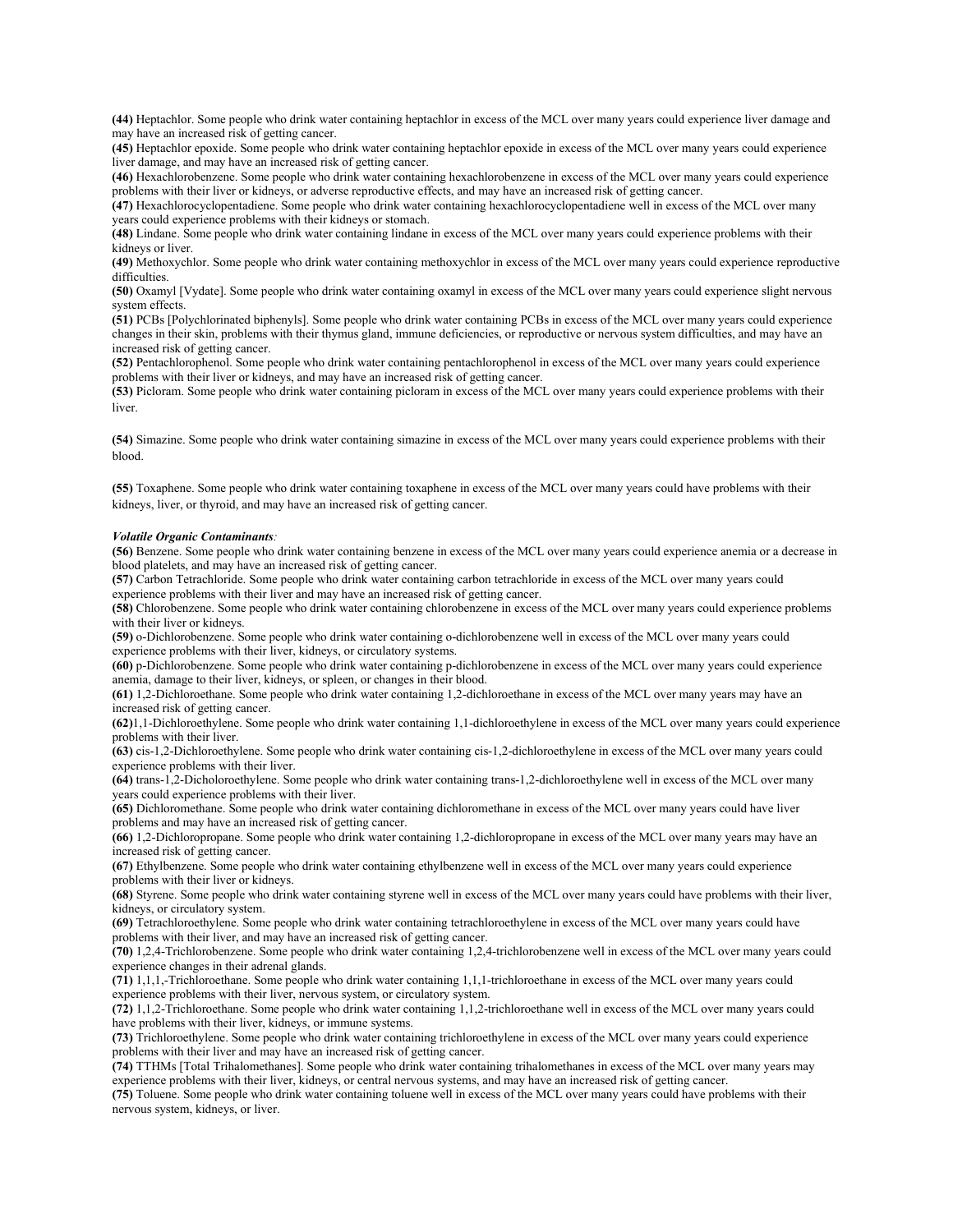**(44)** Heptachlor. Some people who drink water containing heptachlor in excess of the MCL over many years could experience liver damage and may have an increased risk of getting cancer.

**(45)** Heptachlor epoxide. Some people who drink water containing heptachlor epoxide in excess of the MCL over many years could experience liver damage, and may have an increased risk of getting cancer.

**(46)** Hexachlorobenzene. Some people who drink water containing hexachlorobenzene in excess of the MCL over many years could experience problems with their liver or kidneys, or adverse reproductive effects, and may have an increased risk of getting cancer.

**(47)** Hexachlorocyclopentadiene. Some people who drink water containing hexachlorocyclopentadiene well in excess of the MCL over many years could experience problems with their kidneys or stomach.

**(48)** Lindane. Some people who drink water containing lindane in excess of the MCL over many years could experience problems with their kidneys or liver.

**(49)** Methoxychlor. Some people who drink water containing methoxychlor in excess of the MCL over many years could experience reproductive difficulties.

**(50)** Oxamyl [Vydate]. Some people who drink water containing oxamyl in excess of the MCL over many years could experience slight nervous system effects.

**(51)** PCBs [Polychlorinated biphenyls]. Some people who drink water containing PCBs in excess of the MCL over many years could experience changes in their skin, problems with their thymus gland, immune deficiencies, or reproductive or nervous system difficulties, and may have an increased risk of getting cancer.

**(52)** Pentachlorophenol. Some people who drink water containing pentachlorophenol in excess of the MCL over many years could experience problems with their liver or kidneys, and may have an increased risk of getting cancer.

**(53)** Picloram. Some people who drink water containing picloram in excess of the MCL over many years could experience problems with their liver.

**(54)** Simazine. Some people who drink water containing simazine in excess of the MCL over many years could experience problems with their blood.

**(55)** Toxaphene. Some people who drink water containing toxaphene in excess of the MCL over many years could have problems with their kidneys, liver, or thyroid, and may have an increased risk of getting cancer.

### *Volatile Organic Contaminants:*

**(56)** Benzene. Some people who drink water containing benzene in excess of the MCL over many years could experience anemia or a decrease in blood platelets, and may have an increased risk of getting cancer.

**(57)** Carbon Tetrachloride. Some people who drink water containing carbon tetrachloride in excess of the MCL over many years could experience problems with their liver and may have an increased risk of getting cancer.

**(58)** Chlorobenzene. Some people who drink water containing chlorobenzene in excess of the MCL over many years could experience problems with their liver or kidneys.

**(59)** o-Dichlorobenzene. Some people who drink water containing o-dichlorobenzene well in excess of the MCL over many years could experience problems with their liver, kidneys, or circulatory systems.

**(60)** p-Dichlorobenzene. Some people who drink water containing p-dichlorobenzene in excess of the MCL over many years could experience anemia, damage to their liver, kidneys, or spleen, or changes in their blood.

**(61)** 1,2-Dichloroethane. Some people who drink water containing 1,2-dichloroethane in excess of the MCL over many years may have an increased risk of getting cancer.

**(62)**1,1-Dichloroethylene. Some people who drink water containing 1,1-dichloroethylene in excess of the MCL over many years could experience problems with their liver.

**(63)** cis-1,2-Dichloroethylene. Some people who drink water containing cis-1,2-dichloroethylene in excess of the MCL over many years could experience problems with their liver.

**(64)** trans-1,2-Dicholoroethylene. Some people who drink water containing trans-1,2-dichloroethylene well in excess of the MCL over many years could experience problems with their liver.

**(65)** Dichloromethane. Some people who drink water containing dichloromethane in excess of the MCL over many years could have liver problems and may have an increased risk of getting cancer.

**(66)** 1,2-Dichloropropane. Some people who drink water containing 1,2-dichloropropane in excess of the MCL over many years may have an increased risk of getting cancer.

**(67)** Ethylbenzene. Some people who drink water containing ethylbenzene well in excess of the MCL over many years could experience problems with their liver or kidneys.

**(68)** Styrene. Some people who drink water containing styrene well in excess of the MCL over many years could have problems with their liver, kidneys, or circulatory system.

**(69)** Tetrachloroethylene. Some people who drink water containing tetrachloroethylene in excess of the MCL over many years could have problems with their liver, and may have an increased risk of getting cancer.

**(70)** 1,2,4-Trichlorobenzene. Some people who drink water containing 1,2,4-trichlorobenzene well in excess of the MCL over many years could experience changes in their adrenal glands.

**(71)** 1,1,1,-Trichloroethane. Some people who drink water containing 1,1,1-trichloroethane in excess of the MCL over many years could experience problems with their liver, nervous system, or circulatory system.

**(72)** 1,1,2-Trichloroethane. Some people who drink water containing 1,1,2-trichloroethane well in excess of the MCL over many years could have problems with their liver, kidneys, or immune systems.

**(73)** Trichloroethylene. Some people who drink water containing trichloroethylene in excess of the MCL over many years could experience problems with their liver and may have an increased risk of getting cancer.

**(74)** TTHMs [Total Trihalomethanes]. Some people who drink water containing trihalomethanes in excess of the MCL over many years may experience problems with their liver, kidneys, or central nervous systems, and may have an increased risk of getting cancer.

**(75)** Toluene. Some people who drink water containing toluene well in excess of the MCL over many years could have problems with their nervous system, kidneys, or liver.